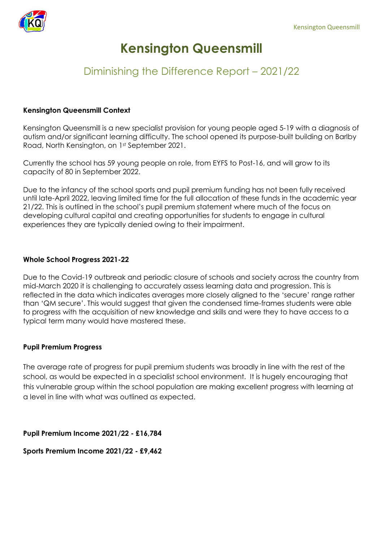

# **Kensington Queensmill**

## Diminishing the Difference Report – 2021/22

#### **Kensington Queensmill Context**

Kensington Queensmill is a new specialist provision for young people aged 5-19 with a diagnosis of autism and/or significant learning difficulty. The school opened its purpose-built building on Barlby Road, North Kensington, on 1st September 2021.

Currently the school has 59 young people on role, from EYFS to Post-16, and will grow to its capacity of 80 in September 2022.

Due to the infancy of the school sports and pupil premium funding has not been fully received until late-April 2022, leaving limited time for the full allocation of these funds in the academic year 21/22. This is outlined in the school's pupil premium statement where much of the focus on developing cultural capital and creating opportunities for students to engage in cultural experiences they are typically denied owing to their impairment.

#### **Whole School Progress 2021-22**

Due to the Covid-19 outbreak and periodic closure of schools and society across the country from mid-March 2020 it is challenging to accurately assess learning data and progression. This is reflected in the data which indicates averages more closely aligned to the 'secure' range rather than 'QM secure'. This would suggest that given the condensed time-frames students were able to progress with the acquisition of new knowledge and skills and were they to have access to a typical term many would have mastered these.

#### **Pupil Premium Progress**

The average rate of progress for pupil premium students was broadly in line with the rest of the school, as would be expected in a specialist school environment. It is hugely encouraging that this vulnerable group within the school population are making excellent progress with learning at a level in line with what was outlined as expected.

**Pupil Premium Income 2021/22 - £16,784**

**Sports Premium Income 2021/22 - £9,462**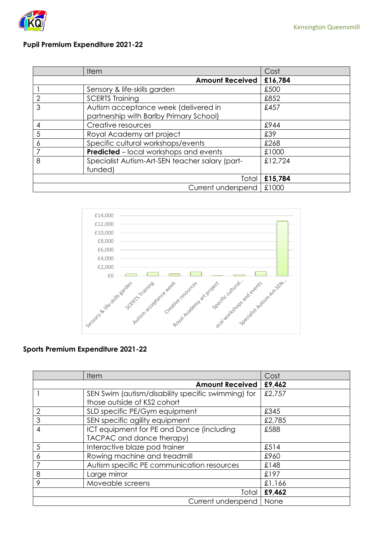

#### **Pupil Premium Expenditure 2021-22**

|                | Item                                                                            | Cost    |
|----------------|---------------------------------------------------------------------------------|---------|
|                | <b>Amount Received</b>                                                          | £16,784 |
|                | Sensory & life-skills garden                                                    | £500    |
| $\overline{2}$ | <b>SCERTS Training</b>                                                          | £852    |
| 3              | Autism acceptance week (delivered in<br>partnership with Barlby Primary School) | £457    |
| 4              | Creative resources                                                              | £944    |
| 5              | Royal Academy art project                                                       | £39     |
| 6              | Specific cultural workshops/events                                              | £268    |
|                | <b>Predicted</b> – local workshops and events                                   | £1000   |
| 8              | Specialist Autism-Art-SEN teacher salary (part-<br>funded)                      | £12,724 |
|                | Total                                                                           | £15,784 |
|                | Current underspend                                                              | £1000   |



### **Sports Premium Expenditure 2021-22**

|                    | <b>Item</b>                                        | Cost   |
|--------------------|----------------------------------------------------|--------|
|                    | <b>Amount Received</b>                             | £9,462 |
|                    | SEN Swim (autism/disability specific swimming) for | £2,757 |
|                    | those outside of KS2 cohort                        |        |
| $\mathbf{2}$       | SLD specific PE/Gym equipment                      | £345   |
| 3                  | SEN specific agility equipment                     | £2,785 |
| 4                  | ICT equipment for PE and Dance (including          | £588   |
|                    | TACPAC and dance therapy)                          |        |
| 5                  | Interactive blaze pod trainer                      | £514   |
| 6                  | Rowing machine and treadmill                       | £960   |
| 7                  | Autism specific PE communication resources         | £148   |
| 8                  | Large mirror                                       | £197   |
| 9                  | Moveable screens                                   | £1,166 |
| Total              |                                                    | £9,462 |
| Current underspend |                                                    | None   |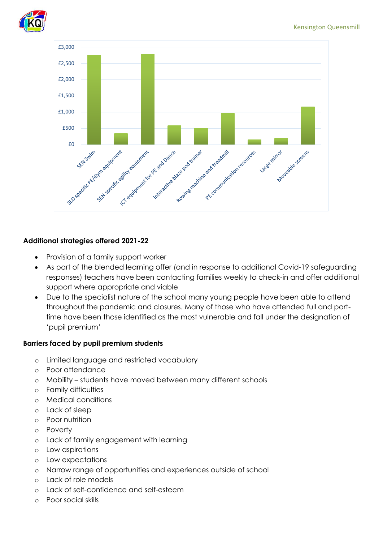



#### **Additional strategies offered 2021-22**

- Provision of a family support worker
- As part of the blended learning offer (and in response to additional Covid-19 safeguarding responses) teachers have been contacting families weekly to check-in and offer additional support where appropriate and viable
- Due to the specialist nature of the school many young people have been able to attend throughout the pandemic and closures. Many of those who have attended full and parttime have been those identified as the most vulnerable and fall under the designation of 'pupil premium'

#### **Barriers faced by pupil premium students**

- o Limited language and restricted vocabulary
- o Poor attendance
- o Mobility students have moved between many different schools
- o Family difficulties
- o Medical conditions
- o Lack of sleep
- o Poor nutrition
- o Poverty
- o Lack of family engagement with learning
- o Low aspirations
- o Low expectations
- o Narrow range of opportunities and experiences outside of school
- o Lack of role models
- o Lack of self-confidence and self-esteem
- o Poor social skills